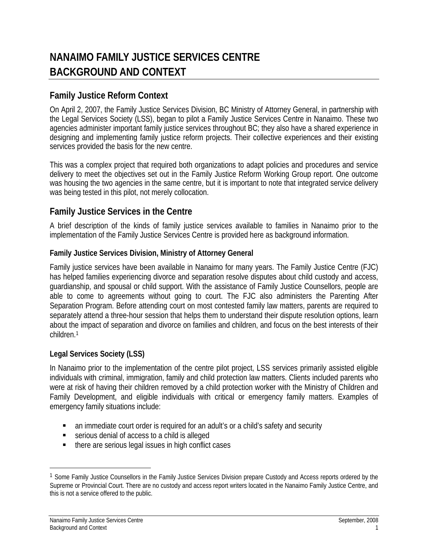# **NANAIMO FAMILY JUSTICE SERVICES CENTRE BACKGROUND AND CONTEXT**

## **Family Justice Reform Context**

On April 2, 2007, the Family Justice Services Division, BC Ministry of Attorney General, in partnership with the Legal Services Society (LSS), began to pilot a Family Justice Services Centre in Nanaimo. These two agencies administer important family justice services throughout BC; they also have a shared experience in designing and implementing family justice reform projects. Their collective experiences and their existing services provided the basis for the new centre.

This was a complex project that required both organizations to adapt policies and procedures and service delivery to meet the objectives set out in the Family Justice Reform Working Group report. One outcome was housing the two agencies in the same centre, but it is important to note that integrated service delivery was being tested in this pilot, not merely collocation.

## **Family Justice Services in the Centre**

A brief description of the kinds of family justice services available to families in Nanaimo prior to the implementation of the Family Justice Services Centre is provided here as background information.

#### **Family Justice Services Division, Ministry of Attorney General**

Family justice services have been available in Nanaimo for many years. The Family Justice Centre (FJC) has helped families experiencing divorce and separation resolve disputes about child custody and access, guardianship, and spousal or child support. With the assistance of Family Justice Counsellors, people are able to come to agreements without going to court. The FJC also administers the Parenting After Separation Program. Before attending court on most contested family law matters, parents are required to separately attend a three-hour session that helps them to understand their dispute resolution options, learn about the impact of separation and divorce on families and children, and focus on the best interests of their children.1

#### **Legal Services Society (LSS)**

In Nanaimo prior to the implementation of the centre pilot project, LSS services primarily assisted eligible individuals with criminal, immigration, family and child protection law matters. Clients included parents who were at risk of having their children removed by a child protection worker with the Ministry of Children and Family Development, and eligible individuals with critical or emergency family matters. Examples of emergency family situations include:

- an immediate court order is required for an adult's or a child's safety and security
- serious denial of access to a child is alleged
- there are serious legal issues in high conflict cases

 $\overline{a}$ 

<sup>&</sup>lt;sup>1</sup> Some Family Justice Counsellors in the Family Justice Services Division prepare Custody and Access reports ordered by the Supreme or Provincial Court. There are no custody and access report writers located in the Nanaimo Family Justice Centre, and this is not a service offered to the public.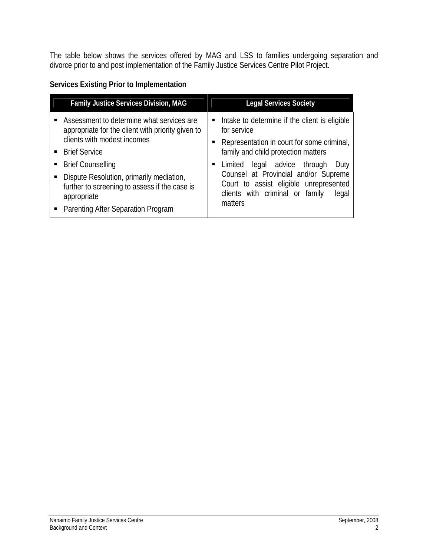The table below shows the services offered by MAG and LSS to families undergoing separation and divorce prior to and post implementation of the Family Justice Services Centre Pilot Project.

### **Services Existing Prior to Implementation**

| <b>Family Justice Services Division, MAG</b>                                                                                                                                                                                                                                                                                          | <b>Legal Services Society</b>                                                                                                                                                                                                                                                                                                         |
|---------------------------------------------------------------------------------------------------------------------------------------------------------------------------------------------------------------------------------------------------------------------------------------------------------------------------------------|---------------------------------------------------------------------------------------------------------------------------------------------------------------------------------------------------------------------------------------------------------------------------------------------------------------------------------------|
| Assessment to determine what services are<br>appropriate for the client with priority given to<br>clients with modest incomes<br><b>Brief Service</b><br><b>Brief Counselling</b><br>Dispute Resolution, primarily mediation,<br>further to screening to assess if the case is<br>appropriate<br>• Parenting After Separation Program | Intake to determine if the client is eligible<br>for service<br>Representation in court for some criminal,<br>family and child protection matters<br>legal advice through<br>Limited<br>Duty<br>Counsel at Provincial and/or Supreme<br>Court to assist eligible unrepresented<br>clients with criminal or family<br>legal<br>matters |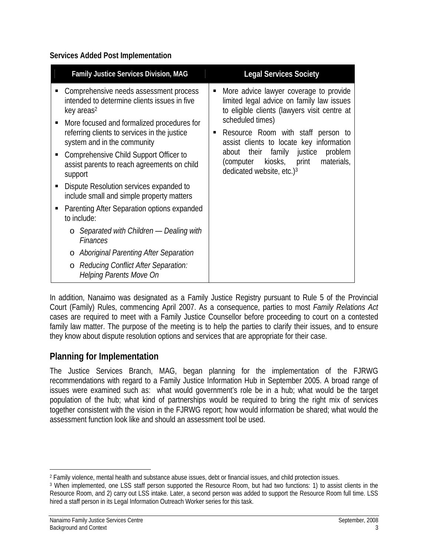#### **Services Added Post Implementation**

In addition, Nanaimo was designated as a Family Justice Registry pursuant to Rule 5 of the Provincial Court (Family) Rules, commencing April 2007. As a consequence, parties to most *Family Relations Act* cases are required to meet with a Family Justice Counsellor before proceeding to court on a contested family law matter. The purpose of the meeting is to help the parties to clarify their issues, and to ensure they know about dispute resolution options and services that are appropriate for their case.

## **Planning for Implementation**

The Justice Services Branch, MAG, began planning for the implementation of the FJRWG recommendations with regard to a Family Justice Information Hub in September 2005. A broad range of issues were examined such as: what would government's role be in a hub; what would be the target population of the hub; what kind of partnerships would be required to bring the right mix of services together consistent with the vision in the FJRWG report; how would information be shared; what would the assessment function look like and should an assessment tool be used.

 $\overline{a}$ 2 Family violence, mental health and substance abuse issues, debt or financial issues, and child protection issues.

<sup>3</sup> When implemented, one LSS staff person supported the Resource Room, but had two functions: 1) to assist clients in the Resource Room, and 2) carry out LSS intake. Later, a second person was added to support the Resource Room full time. LSS hired a staff person in its Legal Information Outreach Worker series for this task.